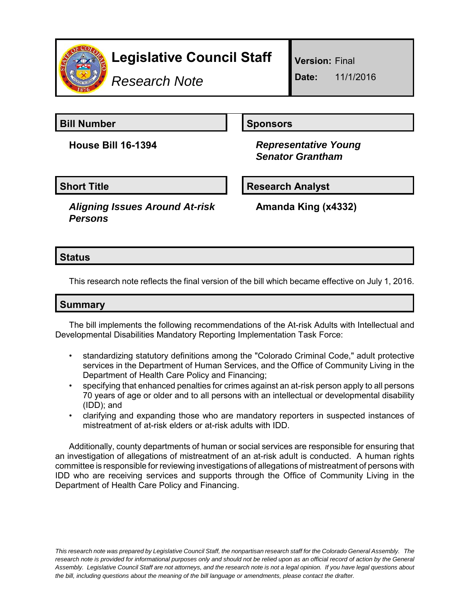

# **Legislative Council Staff**

*Research Note*

**Version:** Final

**Date:** 11/1/2016

**Bill Number Sponsors** 

**House Bill 16-1394** *Representative Young Senator Grantham*

*Aligning Issues Around At-risk Persons*

**Short Title Research Analyst** 

**Amanda King (x4332)**

## **Status**

This research note reflects the final version of the bill which became effective on July 1, 2016.

# **Summary**

The bill implements the following recommendations of the At-risk Adults with Intellectual and Developmental Disabilities Mandatory Reporting Implementation Task Force:

- standardizing statutory definitions among the "Colorado Criminal Code," adult protective services in the Department of Human Services, and the Office of Community Living in the Department of Health Care Policy and Financing;
- specifying that enhanced penalties for crimes against an at-risk person apply to all persons 70 years of age or older and to all persons with an intellectual or developmental disability (IDD); and
- clarifying and expanding those who are mandatory reporters in suspected instances of mistreatment of at-risk elders or at-risk adults with IDD.

Additionally, county departments of human or social services are responsible for ensuring that an investigation of allegations of mistreatment of an at-risk adult is conducted. A human rights committee is responsible for reviewing investigations of allegations of mistreatment of persons with IDD who are receiving services and supports through the Office of Community Living in the Department of Health Care Policy and Financing.

*This research note was prepared by Legislative Council Staff, the nonpartisan research staff for the Colorado General Assembly. The research note is provided for informational purposes only and should not be relied upon as an official record of action by the General Assembly. Legislative Council Staff are not attorneys, and the research note is not a legal opinion. If you have legal questions about the bill, including questions about the meaning of the bill language or amendments, please contact the drafter.*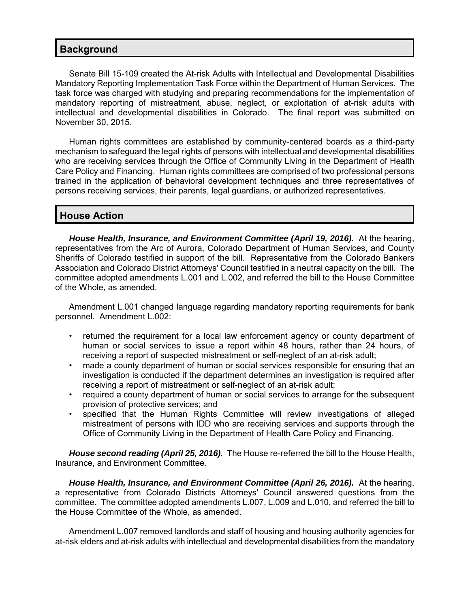#### **Background**

Senate Bill 15-109 created the At-risk Adults with Intellectual and Developmental Disabilities Mandatory Reporting Implementation Task Force within the Department of Human Services. The task force was charged with studying and preparing recommendations for the implementation of mandatory reporting of mistreatment, abuse, neglect, or exploitation of at-risk adults with intellectual and developmental disabilities in Colorado. The final report was submitted on November 30, 2015.

Human rights committees are established by community-centered boards as a third-party mechanism to safeguard the legal rights of persons with intellectual and developmental disabilities who are receiving services through the Office of Community Living in the Department of Health Care Policy and Financing. Human rights committees are comprised of two professional persons trained in the application of behavioral development techniques and three representatives of persons receiving services, their parents, legal guardians, or authorized representatives.

#### **House Action**

*House Health, Insurance, and Environment Committee (April 19, 2016).* At the hearing, representatives from the Arc of Aurora, Colorado Department of Human Services, and County Sheriffs of Colorado testified in support of the bill. Representative from the Colorado Bankers Association and Colorado District Attorneys' Council testified in a neutral capacity on the bill. The committee adopted amendments L.001 and L.002, and referred the bill to the House Committee of the Whole, as amended.

Amendment L.001 changed language regarding mandatory reporting requirements for bank personnel. Amendment L.002:

- returned the requirement for a local law enforcement agency or county department of human or social services to issue a report within 48 hours, rather than 24 hours, of receiving a report of suspected mistreatment or self-neglect of an at-risk adult;
- made a county department of human or social services responsible for ensuring that an investigation is conducted if the department determines an investigation is required after receiving a report of mistreatment or self-neglect of an at-risk adult;
- required a county department of human or social services to arrange for the subsequent provision of protective services; and
- specified that the Human Rights Committee will review investigations of alleged mistreatment of persons with IDD who are receiving services and supports through the Office of Community Living in the Department of Health Care Policy and Financing.

*House second reading (April 25, 2016).* The House re-referred the bill to the House Health, Insurance, and Environment Committee.

*House Health, Insurance, and Environment Committee (April 26, 2016).* At the hearing, a representative from Colorado Districts Attorneys' Council answered questions from the committee. The committee adopted amendments L.007, L.009 and L.010, and referred the bill to the House Committee of the Whole, as amended.

Amendment L.007 removed landlords and staff of housing and housing authority agencies for at-risk elders and at-risk adults with intellectual and developmental disabilities from the mandatory